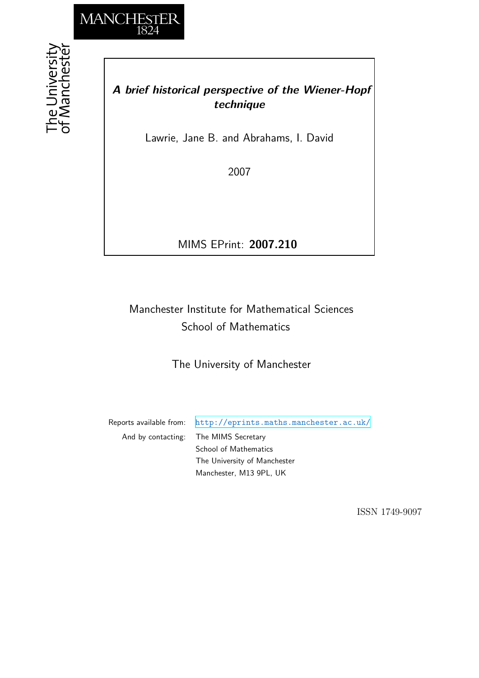

he University<br>f Mancheste

## *A brief historical perspective of the Wiener-Hopf technique*

Lawrie, Jane B. and Abrahams, I. David

2007

MIMS EPrint: **2007.210**

# Manchester Institute for Mathematical Sciences School of Mathematics

The University of Manchester

Reports available from: <http://eprints.maths.manchester.ac.uk/> And by contacting: The MIMS Secretary School of Mathematics The University of Manchester Manchester, M13 9PL, UK

ISSN 1749-9097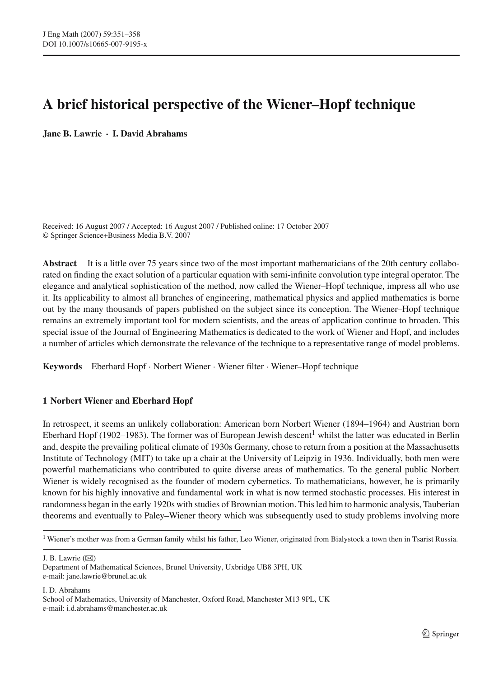## **A brief historical perspective of the Wiener–Hopf technique**

**Jane B. Lawrie · I. David Abrahams**

Received: 16 August 2007 / Accepted: 16 August 2007 / Published online: 17 October 2007 © Springer Science+Business Media B.V. 2007

Abstract It is a little over 75 years since two of the most important mathematicians of the 20th century collaborated on finding the exact solution of a particular equation with semi-infinite convolution type integral operator. The elegance and analytical sophistication of the method, now called the Wiener–Hopf technique, impress all who use it. Its applicability to almost all branches of engineering, mathematical physics and applied mathematics is borne out by the many thousands of papers published on the subject since its conception. The Wiener–Hopf technique remains an extremely important tool for modern scientists, and the areas of application continue to broaden. This special issue of the Journal of Engineering Mathematics is dedicated to the work of Wiener and Hopf, and includes a number of articles which demonstrate the relevance of the technique to a representative range of model problems.

**Keywords** Eberhard Hopf · Norbert Wiener · Wiener filter · Wiener–Hopf technique

### **1 Norbert Wiener and Eberhard Hopf**

In retrospect, it seems an unlikely collaboration: American born Norbert Wiener (1894–1964) and Austrian born Eberhard Hopf (1902–1983). The former was of European Jewish descent<sup>1</sup> whilst the latter was educated in Berlin and, despite the prevailing political climate of 1930s Germany, chose to return from a position at the Massachusetts Institute of Technology (MIT) to take up a chair at the University of Leipzig in 1936. Individually, both men were powerful mathematicians who contributed to quite diverse areas of mathematics. To the general public Norbert Wiener is widely recognised as the founder of modern cybernetics. To mathematicians, however, he is primarily known for his highly innovative and fundamental work in what is now termed stochastic processes. His interest in randomness began in the early 1920s with studies of Brownian motion. This led him to harmonic analysis, Tauberian theorems and eventually to Paley–Wiener theory which was subsequently used to study problems involving more

J. B. Lawrie  $(\boxtimes)$ 

I. D. Abrahams

<sup>&</sup>lt;sup>1</sup> Wiener's mother was from a German family whilst his father, Leo Wiener, originated from Bialystock a town then in Tsarist Russia.

Department of Mathematical Sciences, Brunel University, Uxbridge UB8 3PH, UK e-mail: jane.lawrie@brunel.ac.uk

School of Mathematics, University of Manchester, Oxford Road, Manchester M13 9PL, UK e-mail: i.d.abrahams@manchester.ac.uk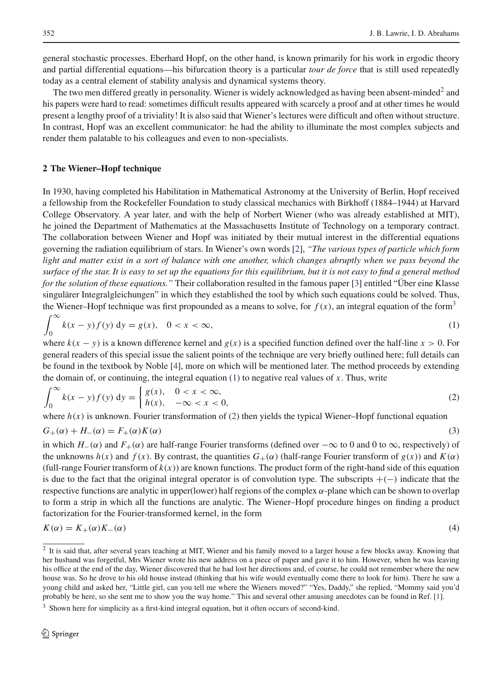general stochastic processes. Eberhard Hopf, on the other hand, is known primarily for his work in ergodic theory and partial differential equations—his bifurcation theory is a particular *tour de force* that is still used repeatedly today as a central element of stability analysis and dynamical systems theory.

The two men differed greatly in personality. Wiener is widely acknowledged as having been absent-minded<sup>[2](#page-2-0)</sup> and his papers were hard to read: sometimes difficult results appeared with scarcely a proof and at other times he would present a lengthy proof of a triviality! It is also said that Wiener's lectures were difficult and often without structure. In contrast, Hopf was an excellent communicator: he had the ability to illuminate the most complex subjects and render them palatable to his colleagues and even to non-specialists.

#### **2 The Wiener–Hopf technique**

In 1930, having completed his Habilitation in Mathematical Astronomy at the University of Berlin, Hopf received a fellowship from the Rockefeller Foundation to study classical mechanics with Birkhoff (1884–1944) at Harvard College Observatory. A year later, and with the help of Norbert Wiener (who was already established at MIT), he joined the Department of Mathematics at the Massachusetts Institute of Technology on a temporary contract. The collaboration between Wiener and Hopf was initiated by their mutual interest in the differential equations governing the radiation equilibrium of stars. In Wiener's own words [\[2](#page-7-0)], *"The various types of particle which form light and matter exist in a sort of balance with one another, which changes abruptly when we pass beyond the surface of the star. It is easy to set up the equations for this equilibrium, but it is not easy to find a general method for the solution of these equations."* Their collaboration resulted in the famous paper [\[3\]](#page-7-1) entitled "Über eine Klasse singulärer Integralgleichungen" in which they established the tool by which such equations could be solved. Thus, the Wiener–Hopf technique was first propounded as a means to solve, for  $f(x)$ , an integral equation of the form<sup>3</sup>

<span id="page-2-2"></span>
$$
\int_0^\infty k(x-y)f(y) \, \mathrm{d}y = g(x), \quad 0 < x < \infty,\tag{1}
$$

where  $k(x - y)$  is a known difference kernel and  $g(x)$  is a specified function defined over the half-line  $x > 0$ . For general readers of this special issue the salient points of the technique are very briefly outlined here; full details can be found in the textbook by Noble [\[4\]](#page-7-2), more on which will be mentioned later. The method proceeds by extending the domain of, or continuing, the integral equation  $(1)$  to negative real values of x. Thus, write

<span id="page-2-3"></span>
$$
\int_0^\infty k(x-y)f(y) \, dy = \begin{cases} g(x), & 0 < x < \infty, \\ h(x), & -\infty < x < 0, \end{cases}
$$
 (2)

where  $h(x)$  is unknown. Fourier transformation of [\(2\)](#page-2-3) then yields the typical Wiener–Hopf functional equation

<span id="page-2-4"></span>
$$
G_{+}(\alpha) + H_{-}(\alpha) = F_{+}(\alpha)K(\alpha)
$$
\n(3)

in which  $H_-(\alpha)$  and  $F_+(\alpha)$  are half-range Fourier transforms (defined over  $-\infty$  to 0 and 0 to  $\infty$ , respectively) of<br>the unknowns  $h(x)$  and  $f(x)$ . By contrast, the quantities  $G_+(\alpha)$  (balf-range Fourier transform of the unknowns  $h(x)$  and  $f(x)$ . By contrast, the quantities  $G_+(\alpha)$  (half-range Fourier transform of  $g(x)$ ) and  $K(\alpha)$ (full-range Fourier transform of  $k(x)$ ) are known functions. The product form of the right-hand side of this equation is due to the fact that the original integral operator is of convolution type. The subscripts <sup>+</sup>(−) indicate that the respective functions are analytic in upper(lower) half regions of the complex  $\alpha$ -plane which can be shown to overlap to form a strip in which all the functions are analytic. The Wiener–Hopf procedure hinges on finding a product factorization for the Fourier-transformed kernel, in the form

<span id="page-2-5"></span>
$$
K(\alpha) = K_{+}(\alpha)K_{-}(\alpha) \tag{4}
$$

<span id="page-2-0"></span><sup>&</sup>lt;sup>2</sup> It is said that, after several years teaching at MIT, Wiener and his family moved to a larger house a few blocks away. Knowing that her husband was forgetful, Mrs Wiener wrote his new address on a piece of paper and gave it to him. However, when he was leaving his office at the end of the day, Wiener discovered that he had lost her directions and, of course, he could not remember where the new house was. So he drove to his old house instead (thinking that his wife would eventually come there to look for him). There he saw a young child and asked her, "Little girl, can you tell me where the Wieners moved?" "Yes, Daddy," she replied, "Mommy said you'd probably be here, so she sent me to show you the way home." This and several other amusing anecdotes can be found in Ref. [\[1\]](#page-7-3).

<span id="page-2-1"></span><sup>&</sup>lt;sup>3</sup> Shown here for simplicity as a first-kind integral equation, but it often occurs of second-kind.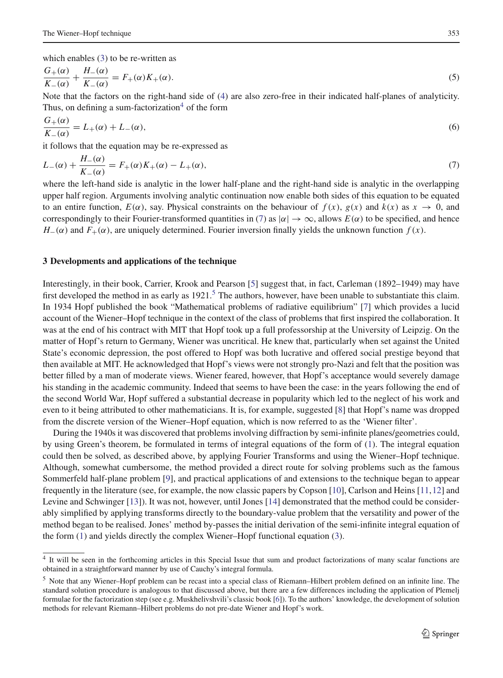which enables [\(3\)](#page-2-4) to be re-written as

$$
\frac{G_{+}(\alpha)}{K_{-}(\alpha)} + \frac{H_{-}(\alpha)}{K_{-}(\alpha)} = F_{+}(\alpha)K_{+}(\alpha).
$$
\nNote that the factors on the right-hand side of (4) are also zero-free in their indicated half-planes of analyticity.

Thus, on defining a sum-factorization $4$  of the form

$$
\frac{G_{+}(\alpha)}{K_{-}(\alpha)} = L_{+}(\alpha) + L_{-}(\alpha),
$$
\nif follows that the equation may be re expressed as

it follows that the equation may be re-expressed as

<span id="page-3-1"></span>
$$
L_{-}(\alpha) + \frac{H_{-}(\alpha)}{K_{-}(\alpha)} = F_{+}(\alpha)K_{+}(\alpha) - L_{+}(\alpha),
$$
\n(7)

\nwhere the left-hand side is analytic in the lower half-plane and the right-hand side is analytic in the overlapping

upper half region. Arguments involving analytic continuation now enable both sides of this equation to be equated to an entire function,  $E(\alpha)$ , say. Physical constraints on the behaviour of  $f(x)$ ,  $g(x)$  and  $k(x)$  as  $x \to 0$ , and correspondingly to their Fourier-transformed quantities in [\(7\)](#page-3-1) as  $|\alpha| \to \infty$ , allows  $E(\alpha)$  to be specified, and hence  $H_-(\alpha)$  and  $F_+(\alpha)$ , are uniquely determined. Fourier inversion finally yields the unknown function  $f(x)$ .

#### **3 Developments and applications of the technique**

Interestingly, in their book, Carrier, Krook and Pearson [\[5\]](#page-7-4) suggest that, in fact, Carleman (1892–1949) may have first developed the method in as early as  $1921$ .<sup>5</sup> The authors, however, have been unable to substantiate this claim. In 1934 Hopf published the book "Mathematical problems of radiative equilibrium" [\[7\]](#page-7-5) which provides a lucid account of the Wiener–Hopf technique in the context of the class of problems that first inspired the collaboration. It was at the end of his contract with MIT that Hopf took up a full professorship at the University of Leipzig. On the matter of Hopf's return to Germany, Wiener was uncritical. He knew that, particularly when set against the United State's economic depression, the post offered to Hopf was both lucrative and offered social prestige beyond that then available at MIT. He acknowledged that Hopf's views were not strongly pro-Nazi and felt that the position was better filled by a man of moderate views. Wiener feared, however, that Hopf's acceptance would severely damage his standing in the academic community. Indeed that seems to have been the case: in the years following the end of the second World War, Hopf suffered a substantial decrease in popularity which led to the neglect of his work and even to it being attributed to other mathematicians. It is, for example, suggested [\[8\]](#page-7-6) that Hopf's name was dropped from the discrete version of the Wiener–Hopf equation, which is now referred to as the 'Wiener filter'.

During the 1940s it was discovered that problems involving diffraction by semi-infinite planes/geometries could, by using Green's theorem, be formulated in terms of integral equations of the form of [\(1\)](#page-2-2). The integral equation could then be solved, as described above, by applying Fourier Transforms and using the Wiener–Hopf technique. Although, somewhat cumbersome, the method provided a direct route for solving problems such as the famous Sommerfeld half-plane problem [\[9](#page-7-7)], and practical applications of and extensions to the technique began to appear frequently in the literature (see, for example, the now classic papers by Copson [\[10](#page-7-8)], Carlson and Heins [\[11](#page-7-9)[,12](#page-7-10)] and Levine and Schwinger [\[13\]](#page-7-11)). It was not, however, until Jones [\[14\]](#page-7-12) demonstrated that the method could be considerably simplified by applying transforms directly to the boundary-value problem that the versatility and power of the method began to be realised. Jones' method by-passes the initial derivation of the semi-infinite integral equation of the form [\(1\)](#page-2-2) and yields directly the complex Wiener–Hopf functional equation [\(3\)](#page-2-4).

<span id="page-3-0"></span><sup>&</sup>lt;sup>4</sup> It will be seen in the forthcoming articles in this Special Issue that sum and product factorizations of many scalar functions are obtained in a straightforward manner by use of Cauchy's integral formula.

<span id="page-3-2"></span><sup>5</sup> Note that any Wiener–Hopf problem can be recast into a special class of Riemann–Hilbert problem defined on an infinite line. The standard solution procedure is analogous to that discussed above, but there are a few differences including the application of Plemelj formulae for the factorization step (see e.g. Muskhelivshvili's classic book [\[6](#page-7-13)]). To the authors' knowledge, the development of solution methods for relevant Riemann–Hilbert problems do not pre-date Wiener and Hopf's work.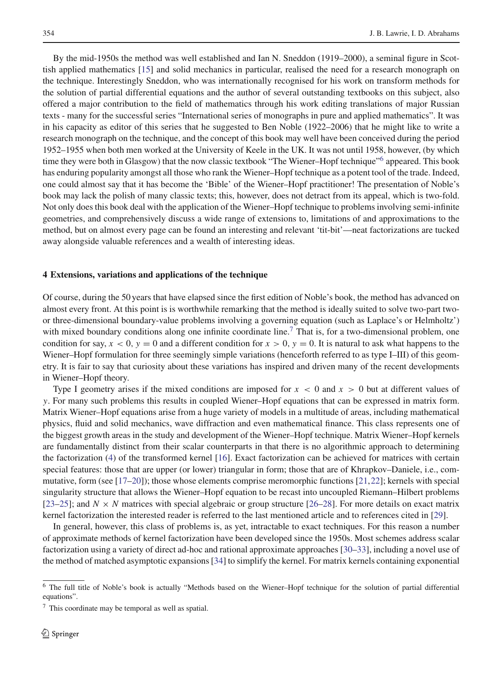By the mid-1950s the method was well established and Ian N. Sneddon (1919–2000), a seminal figure in Scottish applied mathematics [\[15\]](#page-7-14) and solid mechanics in particular, realised the need for a research monograph on the technique. Interestingly Sneddon, who was internationally recognised for his work on transform methods for the solution of partial differential equations and the author of several outstanding textbooks on this subject, also offered a major contribution to the field of mathematics through his work editing translations of major Russian texts - many for the successful series "International series of monographs in pure and applied mathematics". It was in his capacity as editor of this series that he suggested to Ben Noble (1922–2006) that he might like to write a research monograph on the technique, and the concept of this book may well have been conceived during the period 1952–1955 when both men worked at the University of Keele in the UK. It was not until 1958, however, (by which time they were both in Glasgow) that the now classic textbook "The Wiener–Hopf technique["6](#page-4-0) appeared. This book has enduring popularity amongst all those who rank the Wiener–Hopf technique as a potent tool of the trade. Indeed, one could almost say that it has become the 'Bible' of the Wiener–Hopf practitioner! The presentation of Noble's book may lack the polish of many classic texts; this, however, does not detract from its appeal, which is two-fold. Not only does this book deal with the application of the Wiener–Hopf technique to problems involving semi-infinite geometries, and comprehensively discuss a wide range of extensions to, limitations of and approximations to the method, but on almost every page can be found an interesting and relevant 'tit-bit'—neat factorizations are tucked away alongside valuable references and a wealth of interesting ideas.

#### **4 Extensions, variations and applications of the technique**

Of course, during the 50 years that have elapsed since the first edition of Noble's book, the method has advanced on almost every front. At this point is is worthwhile remarking that the method is ideally suited to solve two-part twoor three-dimensional boundary-value problems involving a governing equation (such as Laplace's or Helmholtz') with mixed boundary conditions along one infinite coordinate line.<sup>[7](#page-4-1)</sup> That is, for a two-dimensional problem, one condition for say,  $x < 0$ ,  $y = 0$  and a different condition for  $x > 0$ ,  $y = 0$ . It is natural to ask what happens to the Wiener–Hopf formulation for three seemingly simple variations (henceforth referred to as type I–III) of this geometry. It is fair to say that curiosity about these variations has inspired and driven many of the recent developments in Wiener–Hopf theory.

Type I geometry arises if the mixed conditions are imposed for  $x < 0$  and  $x > 0$  but at different values of y. For many such problems this results in coupled Wiener–Hopf equations that can be expressed in matrix form. Matrix Wiener–Hopf equations arise from a huge variety of models in a multitude of areas, including mathematical physics, fluid and solid mechanics, wave diffraction and even mathematical finance. This class represents one of the biggest growth areas in the study and development of the Wiener–Hopf technique. Matrix Wiener–Hopf kernels are fundamentally distinct from their scalar counterparts in that there is no algorithmic approach to determining the factorization [\(4\)](#page-2-5) of the transformed kernel [\[16](#page-7-15)]. Exact factorization can be achieved for matrices with certain special features: those that are upper (or lower) triangular in form; those that are of Khrapkov–Daniele, i.e., commutative, form (see [\[17](#page-7-16)[–20](#page-7-17)]); those whose elements comprise meromorphic functions [\[21](#page-7-18),[22](#page-7-19)]; kernels with special singularity structure that allows the Wiener–Hopf equation to be recast into uncoupled Riemann–Hilbert problems [\[23](#page-7-20)[–25\]](#page-7-21); and  $N \times N$  matrices with special algebraic or group structure [\[26](#page-7-22)[–28](#page-7-23)]. For more details on exact matrix kernel factorization the interested reader is referred to the last mentioned article and to references cited in [\[29](#page-7-24)].

In general, however, this class of problems is, as yet, intractable to exact techniques. For this reason a number of approximate methods of kernel factorization have been developed since the 1950s. Most schemes address scalar factorization using a variety of direct ad-hoc and rational approximate approaches [\[30](#page-8-0)[–33](#page-8-1)], including a novel use of the method of matched asymptotic expansions [\[34\]](#page-8-2) to simplify the kernel. For matrix kernels containing exponential

<span id="page-4-0"></span><sup>6</sup> The full title of Noble's book is actually "Methods based on the Wiener–Hopf technique for the solution of partial differential equations".

<span id="page-4-1"></span><sup>7</sup> This coordinate may be temporal as well as spatial.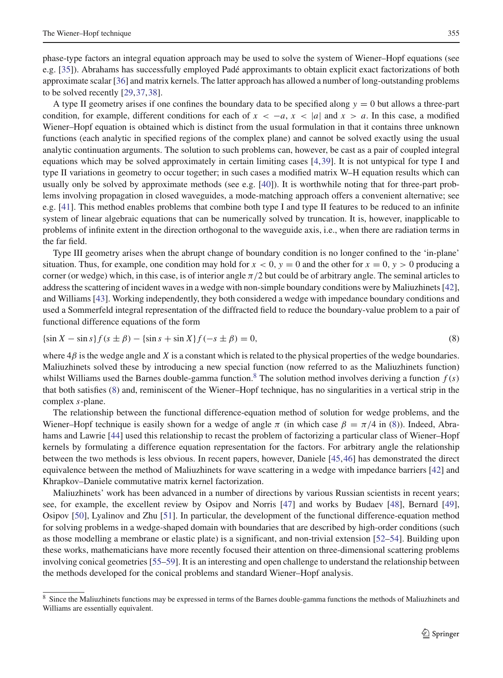phase-type factors an integral equation approach may be used to solve the system of Wiener–Hopf equations (see e.g. [\[35\]](#page-8-3)). Abrahams has successfully employed Padé approximants to obtain explicit exact factorizations of both approximate scalar [\[36](#page-8-4)] and matrix kernels. The latter approach has allowed a number of long-outstanding problems to be solved recently [\[29](#page-7-24)[,37](#page-8-5)[,38](#page-8-6)].

A type II geometry arises if one confines the boundary data to be specified along  $y = 0$  but allows a three-part condition, for example, different conditions for each of  $x < -a$ ,  $x < |a|$  and  $x > a$ . In this case, a modified Wiener–Hopf equation is obtained which is distinct from the usual formulation in that it contains three unknown functions (each analytic in specified regions of the complex plane) and cannot be solved exactly using the usual analytic continuation arguments. The solution to such problems can, however, be cast as a pair of coupled integral equations which may be solved approximately in certain limiting cases [\[4,](#page-7-2)[39\]](#page-8-7). It is not untypical for type I and type II variations in geometry to occur together; in such cases a modified matrix W–H equation results which can usually only be solved by approximate methods (see e.g. [\[40\]](#page-8-8)). It is worthwhile noting that for three-part problems involving propagation in closed waveguides, a mode-matching approach offers a convenient alternative; see e.g. [\[41\]](#page-8-9). This method enables problems that combine both type I and type II features to be reduced to an infinite system of linear algebraic equations that can be numerically solved by truncation. It is, however, inapplicable to problems of infinite extent in the direction orthogonal to the waveguide axis, i.e., when there are radiation terms in the far field.

Type III geometry arises when the abrupt change of boundary condition is no longer confined to the 'in-plane' situation. Thus, for example, one condition may hold for  $x < 0$ ,  $y = 0$  and the other for  $x = 0$ ,  $y > 0$  producing a corner (or wedge) which, in this case, is of interior angle  $\pi/2$  but could be of arbitrary angle. The seminal articles to address the scattering of incident waves in a wedge with non-simple boundary conditions were by Maliuzhinets [\[42](#page-8-10)], and Williams [\[43](#page-8-11)]. Working independently, they both considered a wedge with impedance boundary conditions and used a Sommerfeld integral representation of the diffracted field to reduce the boundary-value problem to a pair of functional difference equations of the form

<span id="page-5-1"></span>
$$
\{\sin X - \sin s\}f(s \pm \beta) - \{\sin s + \sin X\}f(-s \pm \beta) = 0,\tag{8}
$$

where  $4\beta$  is the wedge angle and X is a constant which is related to the physical properties of the wedge boundaries. Maliuzhinets solved these by introducing a new special function (now referred to as the Maliuzhinets function) whilst Williams used the Barnes double-gamma function.<sup>8</sup> The solution method involves deriving a function  $f(s)$ that both satisfies [\(8\)](#page-5-1) and, reminiscent of the Wiener–Hopf technique, has no singularities in a vertical strip in the complex s-plane.

The relationship between the functional difference-equation method of solution for wedge problems, and the Wiener–Hopf technique is easily shown for a wedge of angle  $\pi$  (in which case  $\beta = \pi/4$  in [\(8\)](#page-5-1)). Indeed, Abrahams and Lawrie [\[44\]](#page-8-12) used this relationship to recast the problem of factorizing a particular class of Wiener–Hopf kernels by formulating a difference equation representation for the factors. For arbitrary angle the relationship between the two methods is less obvious. In recent papers, however, Daniele [\[45,](#page-8-13)[46\]](#page-8-14) has demonstrated the direct equivalence between the method of Maliuzhinets for wave scattering in a wedge with impedance barriers [\[42\]](#page-8-10) and Khrapkov–Daniele commutative matrix kernel factorization.

Maliuzhinets' work has been advanced in a number of directions by various Russian scientists in recent years; see, for example, the excellent review by Osipov and Norris [\[47](#page-8-15)] and works by Budaev [\[48\]](#page-8-16), Bernard [\[49](#page-8-17)], Osipov [\[50](#page-8-18)], Lyalinov and Zhu [\[51\]](#page-8-19). In particular, the development of the functional difference-equation method for solving problems in a wedge-shaped domain with boundaries that are described by high-order conditions (such as those modelling a membrane or elastic plate) is a significant, and non-trivial extension [\[52](#page-8-20)[–54](#page-8-21)]. Building upon these works, mathematicians have more recently focused their attention on three-dimensional scattering problems involving conical geometries [\[55](#page-8-22)[–59\]](#page-8-23). It is an interesting and open challenge to understand the relationship between the methods developed for the conical problems and standard Wiener–Hopf analysis.

<span id="page-5-0"></span><sup>&</sup>lt;sup>8</sup> Since the Maliuzhinets functions may be expressed in terms of the Barnes double-gamma functions the methods of Maliuzhinets and Williams are essentially equivalent.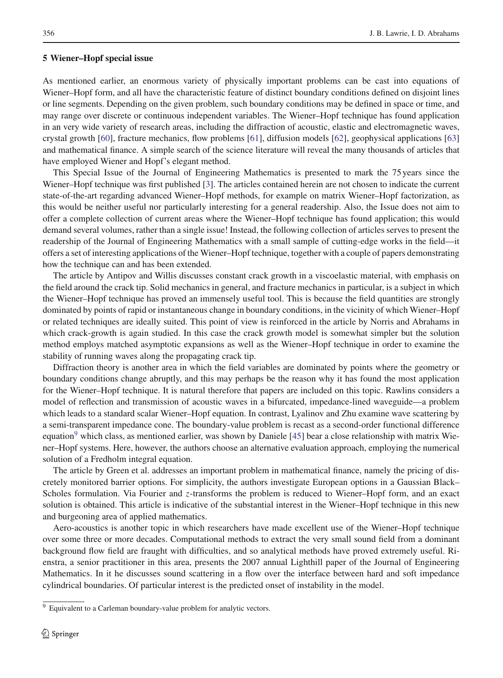As mentioned earlier, an enormous variety of physically important problems can be cast into equations of Wiener–Hopf form, and all have the characteristic feature of distinct boundary conditions defined on disjoint lines or line segments. Depending on the given problem, such boundary conditions may be defined in space or time, and may range over discrete or continuous independent variables. The Wiener–Hopf technique has found application in an very wide variety of research areas, including the diffraction of acoustic, elastic and electromagnetic waves, crystal growth [\[60\]](#page-8-24), fracture mechanics, flow problems [\[61](#page-8-25)], diffusion models [\[62\]](#page-8-26), geophysical applications [\[63\]](#page-8-27) and mathematical finance. A simple search of the science literature will reveal the many thousands of articles that have employed Wiener and Hopf's elegant method.

#### **5 Wiener–Hopf special issue**

This Special Issue of the Journal of Engineering Mathematics is presented to mark the 75 years since the Wiener–Hopf technique was first published [\[3\]](#page-7-1). The articles contained herein are not chosen to indicate the current state-of-the-art regarding advanced Wiener–Hopf methods, for example on matrix Wiener–Hopf factorization, as this would be neither useful nor particularly interesting for a general readership. Also, the Issue does not aim to offer a complete collection of current areas where the Wiener–Hopf technique has found application; this would demand several volumes, rather than a single issue! Instead, the following collection of articles serves to present the readership of the Journal of Engineering Mathematics with a small sample of cutting-edge works in the field—it offers a set of interesting applications of the Wiener–Hopf technique, together with a couple of papers demonstrating how the technique can and has been extended.

The article by Antipov and Willis discusses constant crack growth in a viscoelastic material, with emphasis on the field around the crack tip. Solid mechanics in general, and fracture mechanics in particular, is a subject in which the Wiener–Hopf technique has proved an immensely useful tool. This is because the field quantities are strongly dominated by points of rapid or instantaneous change in boundary conditions, in the vicinity of which Wiener–Hopf or related techniques are ideally suited. This point of view is reinforced in the article by Norris and Abrahams in which crack-growth is again studied. In this case the crack growth model is somewhat simpler but the solution method employs matched asymptotic expansions as well as the Wiener–Hopf technique in order to examine the stability of running waves along the propagating crack tip.

Diffraction theory is another area in which the field variables are dominated by points where the geometry or boundary conditions change abruptly, and this may perhaps be the reason why it has found the most application for the Wiener–Hopf technique. It is natural therefore that papers are included on this topic. Rawlins considers a model of reflection and transmission of acoustic waves in a bifurcated, impedance-lined waveguide—a problem which leads to a standard scalar Wiener–Hopf equation. In contrast, Lyalinov and Zhu examine wave scattering by a semi-transparent impedance cone. The boundary-value problem is recast as a second-order functional difference equation<sup>9</sup> which class, as mentioned earlier, was shown by Daniele [\[45\]](#page-8-13) bear a close relationship with matrix Wiener–Hopf systems. Here, however, the authors choose an alternative evaluation approach, employing the numerical solution of a Fredholm integral equation.

The article by Green et al. addresses an important problem in mathematical finance, namely the pricing of discretely monitored barrier options. For simplicity, the authors investigate European options in a Gaussian Black– Scholes formulation. Via Fourier and z-transforms the problem is reduced to Wiener–Hopf form, and an exact solution is obtained. This article is indicative of the substantial interest in the Wiener–Hopf technique in this new and burgeoning area of applied mathematics.

Aero-acoustics is another topic in which researchers have made excellent use of the Wiener–Hopf technique over some three or more decades. Computational methods to extract the very small sound field from a dominant background flow field are fraught with difficulties, and so analytical methods have proved extremely useful. Rienstra, a senior practitioner in this area, presents the 2007 annual Lighthill paper of the Journal of Engineering Mathematics. In it he discusses sound scattering in a flow over the interface between hard and soft impedance cylindrical boundaries. Of particular interest is the predicted onset of instability in the model.

<span id="page-6-0"></span><sup>&</sup>lt;sup>9</sup> Equivalent to a Carleman boundary-value problem for analytic vectors.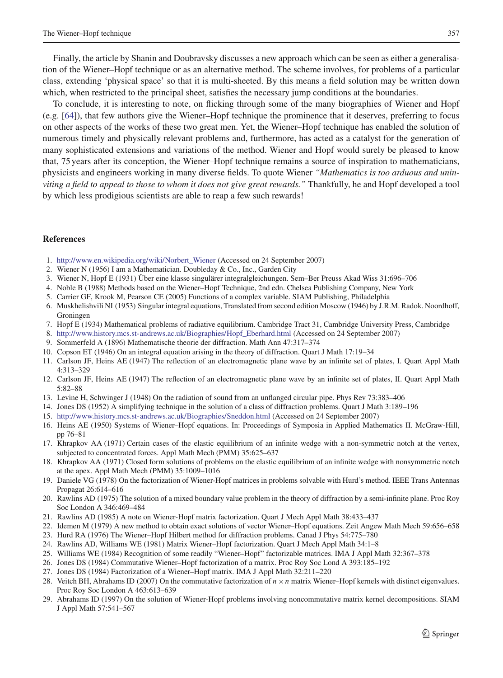Finally, the article by Shanin and Doubravsky discusses a new approach which can be seen as either a generalisation of the Wiener–Hopf technique or as an alternative method. The scheme involves, for problems of a particular class, extending 'physical space' so that it is multi-sheeted. By this means a field solution may be written down which, when restricted to the principal sheet, satisfies the necessary jump conditions at the boundaries.

To conclude, it is interesting to note, on flicking through some of the many biographies of Wiener and Hopf (e.g. [\[64](#page-8-28)]), that few authors give the Wiener–Hopf technique the prominence that it deserves, preferring to focus on other aspects of the works of these two great men. Yet, the Wiener–Hopf technique has enabled the solution of numerous timely and physically relevant problems and, furthermore, has acted as a catalyst for the generation of many sophisticated extensions and variations of the method. Wiener and Hopf would surely be pleased to know that, 75 years after its conception, the Wiener–Hopf technique remains a source of inspiration to mathematicians, physicists and engineers working in many diverse fields. To quote Wiener *"Mathematics is too arduous and uninviting a field to appeal to those to whom it does not give great rewards."* Thankfully, he and Hopf developed a tool by which less prodigious scientists are able to reap a few such rewards!

#### **References**

- <span id="page-7-3"></span>1. [http://www.en.wikipedia.org/wiki/Norbert\\_Wiener](http://www.en.wikipedia.org/wiki/Norbert_Wiener) (Accessed on 24 September 2007)
- <span id="page-7-0"></span>2. Wiener N (1956) I am a Mathematician. Doubleday & Co., Inc., Garden City
- 3. Wiener N, Hopf E (1931) Über eine klasse singulärer integralgleichungen. Sem–Ber Preuss Akad Wiss 31:696–706
- <span id="page-7-4"></span><span id="page-7-2"></span><span id="page-7-1"></span>4. Noble B (1988) Methods based on the Wiener–Hopf Technique, 2nd edn. Chelsea Publishing Company, New York
- 5. Carrier GF, Krook M, Pearson CE (2005) Functions of a complex variable. SIAM Publishing, Philadelphia
- <span id="page-7-13"></span>6. Muskhelishvili NI (1953) Singular integral equations, Translated from second edition Moscow (1946) by J.R.M. Radok. Noordhoff, Groningen
- <span id="page-7-5"></span>7. Hopf E (1934) Mathematical problems of radiative equilibrium. Cambridge Tract 31, Cambridge University Press, Cambridge
- 8. [http://www.history.mcs.st-andrews.ac.uk/Biographies/Hopf\\_Eberhard.html](http://www.history.mcs.st-andrews.ac.uk/Biographies/Hopf_Eberhard.html) (Accessed on 24 September 2007)
- <span id="page-7-6"></span>9. Sommerfeld A (1896) Mathematische theorie der diffraction. Math Ann 47:317–374
- <span id="page-7-8"></span><span id="page-7-7"></span>10. Copson ET (1946) On an integral equation arising in the theory of diffraction. Quart J Math 17:19–34
- <span id="page-7-9"></span>11. Carlson JF, Heins AE (1947) The reflection of an electromagnetic plane wave by an infinite set of plates, I. Quart Appl Math 4:313–329
- <span id="page-7-10"></span>12. Carlson JF, Heins AE (1947) The reflection of an electromagnetic plane wave by an infinite set of plates, II. Quart Appl Math 5:82–88
- 13. Levine H, Schwinger J (1948) On the radiation of sound from an unflanged circular pipe. Phys Rev 73:383–406
- <span id="page-7-14"></span><span id="page-7-12"></span><span id="page-7-11"></span>14. Jones DS (1952) A simplifying technique in the solution of a class of diffraction problems. Quart J Math 3:189–196
- 15. <http://www.history.mcs.st-andrews.ac.uk/Biographies/Sneddon.html> (Accessed on 24 September 2007)
- <span id="page-7-15"></span>16. Heins AE (1950) Systems of Wiener–Hopf equations. In: Proceedings of Symposia in Applied Mathematics II. McGraw-Hill, pp 76–81
- <span id="page-7-16"></span>17. Khrapkov AA (1971) Certain cases of the elastic equilibrium of an infinite wedge with a non-symmetric notch at the vertex, subjected to concentrated forces. Appl Math Mech (PMM) 35:625–637
- 18. Khrapkov AA (1971) Closed form solutions of problems on the elastic equilibrium of an infinite wedge with nonsymmetric notch at the apex. Appl Math Mech (PMM) 35:1009–1016
- 19. Daniele VG (1978) On the factorization of Wiener-Hopf matrices in problems solvable with Hurd's method. IEEE Trans Antennas Propagat 26:614–616
- <span id="page-7-17"></span>20. Rawlins AD (1975) The solution of a mixed boundary value problem in the theory of diffraction by a semi-infinite plane. Proc Roy Soc London A 346:469–484
- <span id="page-7-18"></span>21. Rawlins AD (1985) A note on Wiener-Hopf matrix factorization. Quart J Mech Appl Math 38:433–437
- <span id="page-7-19"></span>22. Idemen M (1979) A new method to obtain exact solutions of vector Wiener–Hopf equations. Zeit Angew Math Mech 59:656–658
- <span id="page-7-20"></span>23. Hurd RA (1976) The Wiener–Hopf Hilbert method for diffraction problems. Canad J Phys 54:775–780
- 24. Rawlins AD, Williams WE (1981) Matrix Wiener–Hopf factorization. Quart J Mech Appl Math 34:1–8
- <span id="page-7-21"></span>25. Williams WE (1984) Recognition of some readily "Wiener–Hopf" factorizable matrices. IMA J Appl Math 32:367–378
- <span id="page-7-22"></span>26. Jones DS (1984) Commutative Wiener–Hopf factorization of a matrix. Proc Roy Soc Lond A 393:185–192
- 27. Jones DS (1984) Factorization of a Wiener–Hopf matrix. IMA J Appl Math 32:211–220
- <span id="page-7-23"></span>28. Veitch BH, Abrahams ID (2007) On the commutative factorization of  $n \times n$  matrix Wiener–Hopf kernels with distinct eigenvalues. Proc Roy Soc London A 463:613–639
- <span id="page-7-24"></span>29. Abrahams ID (1997) On the solution of Wiener-Hopf problems involving noncommutative matrix kernel decompositions. SIAM J Appl Math 57:541–567